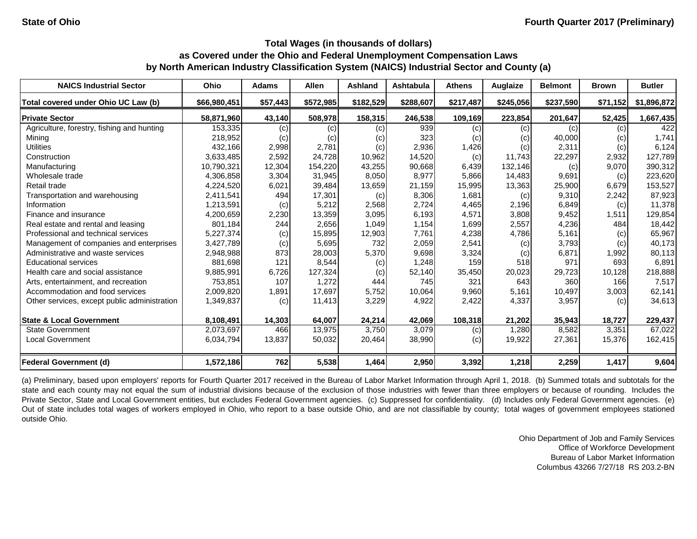| <b>NAICS Industrial Sector</b>               | Ohio         | <b>Adams</b> | <b>Allen</b> | <b>Ashland</b> | <b>Ashtabula</b> | <b>Athens</b> | Auglaize  | <b>Belmont</b> | <b>Brown</b> | <b>Butler</b> |
|----------------------------------------------|--------------|--------------|--------------|----------------|------------------|---------------|-----------|----------------|--------------|---------------|
| Total covered under Ohio UC Law (b)          | \$66,980,451 | \$57,443     | \$572,985    | \$182,529      | \$288,607        | \$217,487     | \$245,056 | \$237,590      | \$71,152     | \$1,896,872   |
| <b>Private Sector</b>                        | 58,871,960   | 43,140       | 508,978      | 158,315        | 246,538          | 109,169       | 223,854   | 201,647        | 52,425       | 1,667,435     |
| Agriculture, forestry, fishing and hunting   | 153,335      | (c)          | (c)          | (c)            | 939              | (c)           | (c)       | (c)            | (c)          | 422           |
| Mining                                       | 218,952      | (c)          | (c)          | (c)            | 323              | (c)           | (c)       | 40,000         | (c)          | 1,741         |
| <b>Utilities</b>                             | 432,166      | 2,998        | 2,781        | (c)            | 2,936            | 1,426         | (c)       | 2,311          | (c)          | 6,124         |
| Construction                                 | 3,633,485    | 2,592        | 24,728       | 10,962         | 14,520           | (c)           | 11,743    | 22,297         | 2,932        | 127,789       |
| Manufacturing                                | 10,790,321   | 12,304       | 154,220      | 43,255         | 90,668           | 6,439         | 132,146   | (c)            | 9,070        | 390,312       |
| Wholesale trade                              | 4,306,858    | 3,304        | 31,945       | 8,050          | 8,977            | 5,866         | 14,483    | 9,691          | (c)          | 223,620       |
| Retail trade                                 | 4,224,520    | 6,021        | 39,484       | 13,659         | 21,159           | 15,995        | 13,363    | 25,900         | 6,679        | 153,527       |
| Transportation and warehousing               | 2,411,541    | 494          | 17,301       | (c)            | 8,306            | 1,681         | (c)       | 9,310          | 2,242        | 87,923        |
| Information                                  | 1,213,591    | (c)          | 5,212        | 2,568          | 2,724            | 4,465         | 2,196     | 6,849          | (c)          | 11,378        |
| Finance and insurance                        | 4,200,659    | 2,230        | 13,359       | 3,095          | 6,193            | 4,571         | 3,808     | 9,452          | 1,511        | 129,854       |
| Real estate and rental and leasing           | 801,184      | 244          | 2,656        | 1,049          | 1,154            | 1,699         | 2,557     | 4,236          | 484          | 18,442        |
| Professional and technical services          | 5,227,374    | (c)          | 15,895       | 12,903         | 7,761            | 4,238         | 4,786     | 5,161          | (c)          | 65,967        |
| Management of companies and enterprises      | 3,427,789    | (c)          | 5,695        | 732            | 2,059            | 2,541         | (c)       | 3,793          | (c)          | 40,173        |
| Administrative and waste services            | 2,948,988    | 873          | 28,003       | 5,370          | 9,698            | 3,324         | (c)       | 6,871          | 1,992        | 80,113        |
| <b>Educational services</b>                  | 881,698      | 121          | 8,544        | (c)            | 1,248            | 159           | 518       | 971            | 693          | 6,891         |
| Health care and social assistance            | 9,885,991    | 6,726        | 127,324      | (c)            | 52,140           | 35,450        | 20,023    | 29,723         | 10,128       | 218,888       |
| Arts, entertainment, and recreation          | 753,851      | 107          | 1,272        | 444            | 745              | 321           | 643       | 360            | 166          | 7,517         |
| Accommodation and food services              | 2,009,820    | 1,891        | 17,697       | 5,752          | 10,064           | 9,960         | 5,161     | 10,497         | 3,003        | 62,141        |
| Other services, except public administration | 1,349,837    | (c)          | 11,413       | 3,229          | 4,922            | 2,422         | 4,337     | 3,957          | (c)          | 34,613        |
| <b>State &amp; Local Government</b>          | 8,108,491    | 14,303       | 64,007       | 24,214         | 42,069           | 108,318       | 21,202    | 35,943         | 18,727       | 229,437       |
| <b>State Government</b>                      | 2,073,697    | 466          | 13,975       | 3,750          | 3,079            | (c)           | 1,280     | 8,582          | 3,351        | 67,022        |
| <b>Local Government</b>                      | 6,034,794    | 13,837       | 50,032       | 20,464         | 38,990           | (c)           | 19,922    | 27,361         | 15,376       | 162,415       |
| Federal Government (d)                       | 1,572,186    | 762          | 5,538        | 1,464          | 2,950            | 3,392         | 1,218     | 2,259          | 1,417        | 9,604         |

(a) Preliminary, based upon employers' reports for Fourth Quarter 2017 received in the Bureau of Labor Market Information through April 1, 2018. (b) Summed totals and subtotals for the state and each county may not equal the sum of industrial divisions because of the exclusion of those industries with fewer than three employers or because of rounding. Includes the Private Sector, State and Local Government entities, but excludes Federal Government agencies. (c) Suppressed for confidentiality. (d) Includes only Federal Government agencies. (e) Out of state includes total wages of workers employed in Ohio, who report to a base outside Ohio, and are not classifiable by county; total wages of government employees stationed outside Ohio.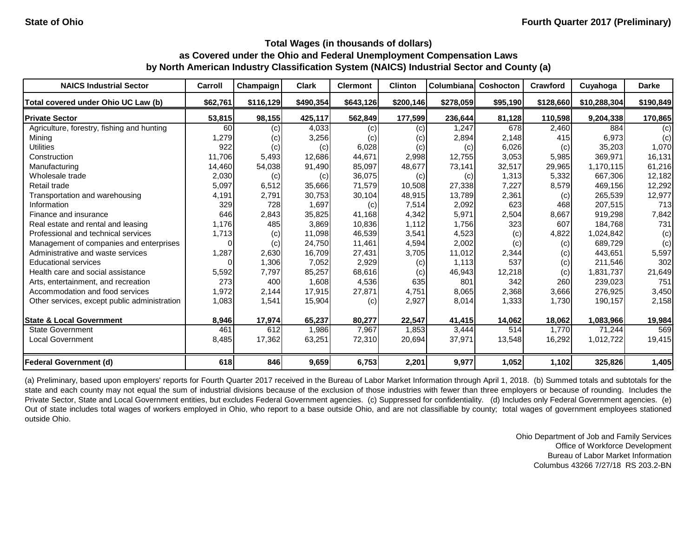| <b>NAICS Industrial Sector</b>               | Carroll  | Champaign | <b>Clark</b> | <b>Clermont</b> | <b>Clinton</b> | <b>Columbiana</b> | Coshocton | Crawford  | Cuyahoga     | <b>Darke</b> |
|----------------------------------------------|----------|-----------|--------------|-----------------|----------------|-------------------|-----------|-----------|--------------|--------------|
| Total covered under Ohio UC Law (b)          | \$62,761 | \$116,129 | \$490,354    | \$643,126       | \$200,146      | \$278,059         | \$95,190  | \$128,660 | \$10,288,304 | \$190,849    |
| <b>Private Sector</b>                        | 53,815   | 98,155    | 425,117      | 562,849         | 177,599        | 236,644           | 81,128    | 110,598   | 9,204,338    | 170,865      |
| Agriculture, forestry, fishing and hunting   | 60       | (c)       | 4,033        | (c)             | (c)            | 1,247             | 678       | 2,460     | 884          | (c)          |
| Mining                                       | 1,279    | (c)       | 3,256        | (c)             | (c)            | 2,894             | 2,148     | 415       | 6,973        | (c)          |
| <b>Utilities</b>                             | 922      | (c)       | (c)          | 6,028           | (c)            | (c)               | 6,026     | (c)       | 35,203       | 1,070        |
| Construction                                 | 11,706   | 5,493     | 12,686       | 44,671          | 2,998          | 12,755            | 3,053     | 5,985     | 369,971      | 16,131       |
| Manufacturing                                | 14,460   | 54,038    | 91,490       | 85,097          | 48,677         | 73,141            | 32,517    | 29,965    | 1,170,115    | 61,216       |
| Wholesale trade                              | 2,030    | (c)       | (c)          | 36,075          | (c)            | (c)               | 1,313     | 5,332     | 667,306      | 12,182       |
| Retail trade                                 | 5,097    | 6,512     | 35,666       | 71,579          | 10,508         | 27,338            | 7,227     | 8,579     | 469,156      | 12,292       |
| Transportation and warehousing               | 4,191    | 2,791     | 30,753       | 30,104          | 48,915         | 13,789            | 2,361     | (c)       | 265,539      | 12,977       |
| Information                                  | 329      | 728       | 1,697        | (c)             | 7,514          | 2,092             | 623       | 468       | 207,515      | 713          |
| Finance and insurance                        | 646      | 2,843     | 35,825       | 41,168          | 4,342          | 5,971             | 2,504     | 8,667     | 919,298      | 7,842        |
| Real estate and rental and leasing           | 1,176    | 485       | 3,869        | 10,836          | 1,112          | 1,756             | 323       | 607       | 184,768      | 731          |
| Professional and technical services          | 1,713    | (c)       | 11,098       | 46,539          | 3,541          | 4,523             | (c)       | 4,822     | 1,024,842    | (c)          |
| Management of companies and enterprises      |          | (c)       | 24,750       | 11,461          | 4,594          | 2,002             | (c)       | (c)       | 689,729      | (c)          |
| Administrative and waste services            | 1,287    | 2,630     | 16,709       | 27,431          | 3,705          | 11,012            | 2,344     | (c)       | 443,651      | 5,597        |
| <b>Educational services</b>                  |          | 1,306     | 7,052        | 2,929           | (c)            | 1,113             | 537       | (c)       | 211,546      | 302          |
| Health care and social assistance            | 5,592    | 7,797     | 85,257       | 68,616          | (c)            | 46,943            | 12,218    | (c)       | 1,831,737    | 21,649       |
| Arts, entertainment, and recreation          | 273      | 400       | 1,608        | 4,536           | 635            | 801               | 342       | 260       | 239,023      | 751          |
| Accommodation and food services              | 1,972    | 2,144     | 17,915       | 27,871          | 4,751          | 8,065             | 2,368     | 3,666     | 276,925      | 3,450        |
| Other services, except public administration | 1,083    | 1,541     | 15,904       | (c)             | 2,927          | 8,014             | 1,333     | 1,730     | 190,157      | 2,158        |
| <b>State &amp; Local Government</b>          | 8,946    | 17,974    | 65,237       | 80,277          | 22,547         | 41,415            | 14,062    | 18,062    | 1,083,966    | 19,984       |
| <b>State Government</b>                      | 461      | 612       | 1,986        | 7,967           | 1,853          | 3,444             | 514       | 1,770     | 71,244       | 569          |
| <b>Local Government</b>                      | 8,485    | 17,362    | 63,251       | 72,310          | 20,694         | 37,971            | 13,548    | 16,292    | 1,012,722    | 19,415       |
| <b>Federal Government (d)</b>                | 618      | 846       | 9,659        | 6,753           | 2,201          | 9,977             | 1,052     | 1,102     | 325,826      | 1,405        |

(a) Preliminary, based upon employers' reports for Fourth Quarter 2017 received in the Bureau of Labor Market Information through April 1, 2018. (b) Summed totals and subtotals for the state and each county may not equal the sum of industrial divisions because of the exclusion of those industries with fewer than three employers or because of rounding. Includes the Private Sector, State and Local Government entities, but excludes Federal Government agencies. (c) Suppressed for confidentiality. (d) Includes only Federal Government agencies. (e) Out of state includes total wages of workers employed in Ohio, who report to a base outside Ohio, and are not classifiable by county; total wages of government employees stationed outside Ohio.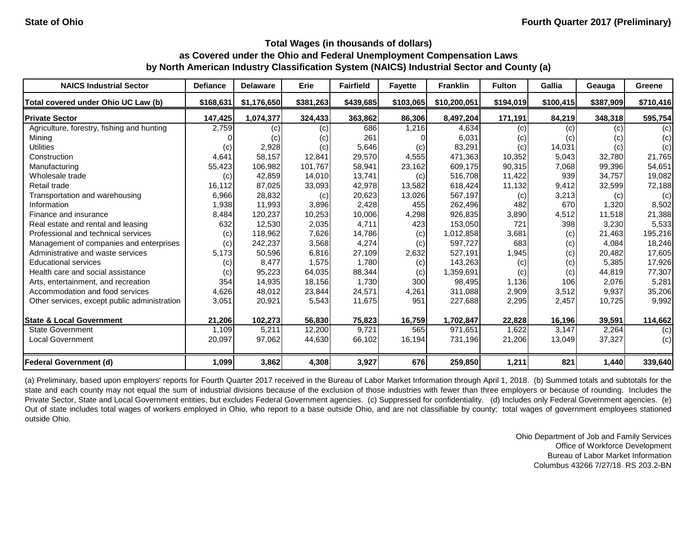| <b>NAICS Industrial Sector</b>               | <b>Defiance</b> | <b>Delaware</b> | Erie      | <b>Fairfield</b> | <b>Fayette</b> | <b>Franklin</b> | <b>Fulton</b> | Gallia    | Geauga    | <b>Greene</b> |
|----------------------------------------------|-----------------|-----------------|-----------|------------------|----------------|-----------------|---------------|-----------|-----------|---------------|
| Total covered under Ohio UC Law (b)          | \$168,631       | \$1,176,650     | \$381,263 | \$439,685        | \$103,065      | \$10,200,051    | \$194,019     | \$100,415 | \$387,909 | \$710,416     |
| <b>Private Sector</b>                        | 147,425         | 1,074,377       | 324,433   | 363,862          | 86,306         | 8,497,204       | 171,191       | 84,219    | 348,318   | 595,754       |
| Agriculture, forestry, fishing and hunting   | 2,759           | (c)             | (c)       | 686              | 1,216          | 4,634           | (c)           | (c)       | (c)       | (c)           |
| Mining                                       |                 | (c)             | (c)       | 261              |                | 6,031           | (c)           | (c)       | (C)       | (c)           |
| <b>Utilities</b>                             | (c)             | 2,928           | (c)       | 5,646            | (c)            | 83,291          | (c)           | 14,031    | (c)       | (c)           |
| Construction                                 | 4,641           | 58,157          | 12,841    | 29,570           | 4,555          | 471,363         | 10,352        | 5,043     | 32,780    | 21,765        |
| Manufacturing                                | 55,423          | 106,982         | 101,767   | 58,941           | 23,162         | 609,175         | 90,315        | 7,068     | 99,396    | 54,651        |
| Wholesale trade                              | (c)             | 42,859          | 14,010    | 13,741           | (c)            | 516,708         | 11,422        | 939       | 34,757    | 19,082        |
| Retail trade                                 | 16,112          | 87,025          | 33,093    | 42,978           | 13,582         | 618,424         | 11,132        | 9,412     | 32,599    | 72,188        |
| Transportation and warehousing               | 6,966           | 28,832          | (c)       | 20,623           | 13,026         | 567,197         | (c)           | 3,213     | (c)       | (c)           |
| Information                                  | 1,938           | 11,993          | 3,896     | 2,428            | 455            | 262,496         | 482           | 670       | 1,320     | 8,502         |
| Finance and insurance                        | 8,484           | 120,237         | 10,253    | 10,006           | 4,298          | 926,835         | 3,890         | 4,512     | 11,518    | 21,388        |
| Real estate and rental and leasing           | 632             | 12,530          | 2,035     | 4,711            | 423            | 153,050         | 721           | 398       | 3,230     | 5,533         |
| Professional and technical services          | (c)             | 118,962         | 7,626     | 14,786           | (c)            | 1,012,858       | 3,681         | (c)       | 21,463    | 195,216       |
| Management of companies and enterprises      | (c)             | 242,237         | 3,568     | 4,274            | (c)            | 597,727         | 683           | (c)       | 4,084     | 18,246        |
| Administrative and waste services            | 5,173           | 50,596          | 6,816     | 27,109           | 2,632          | 527,191         | 1,945         | (c)       | 20,482    | 17,605        |
| <b>Educational services</b>                  | (c)             | 8,477           | 1,575     | 1,780            | (c)            | 143,263         | (c)           | (c)       | 5,385     | 17,926        |
| Health care and social assistance            | (c)             | 95,223          | 64,035    | 88,344           | (c)            | 1,359,691       | (c)           | (c)       | 44,819    | 77,307        |
| Arts, entertainment, and recreation          | 354             | 14,935          | 18,156    | 1,730            | 300            | 98,495          | 1,136         | 106       | 2,076     | 5,281         |
| Accommodation and food services              | 4,626           | 48,012          | 23,844    | 24,571           | 4,261          | 311,088         | 2,909         | 3,512     | 9,937     | 35,206        |
| Other services, except public administration | 3,051           | 20,921          | 5,543     | 11,675           | 951            | 227,688         | 2,295         | 2,457     | 10,725    | 9,992         |
| <b>State &amp; Local Government</b>          | 21,206          | 102,273         | 56,830    | 75,823           | 16,759         | 1,702,847       | 22,828        | 16,196    | 39,591    | 114,662       |
| State Government                             | 1,109           | 5,211           | 12,200    | 9,721            | 565            | 971,651         | 1,622         | 3,147     | 2,264     | (c)           |
| <b>Local Government</b>                      | 20,097          | 97,062          | 44,630    | 66,102           | 16,194         | 731,196         | 21,206        | 13,049    | 37,327    | (c)           |
| <b>Federal Government (d)</b>                | 1,099           | 3,862           | 4,308     | 3,927            | 676            | 259,850         | 1,211         | 821       | 1,440     | 339,640       |

(a) Preliminary, based upon employers' reports for Fourth Quarter 2017 received in the Bureau of Labor Market Information through April 1, 2018. (b) Summed totals and subtotals for the state and each county may not equal the sum of industrial divisions because of the exclusion of those industries with fewer than three employers or because of rounding. Includes the Private Sector, State and Local Government entities, but excludes Federal Government agencies. (c) Suppressed for confidentiality. (d) Includes only Federal Government agencies. (e) Out of state includes total wages of workers employed in Ohio, who report to a base outside Ohio, and are not classifiable by county; total wages of government employees stationed outside Ohio.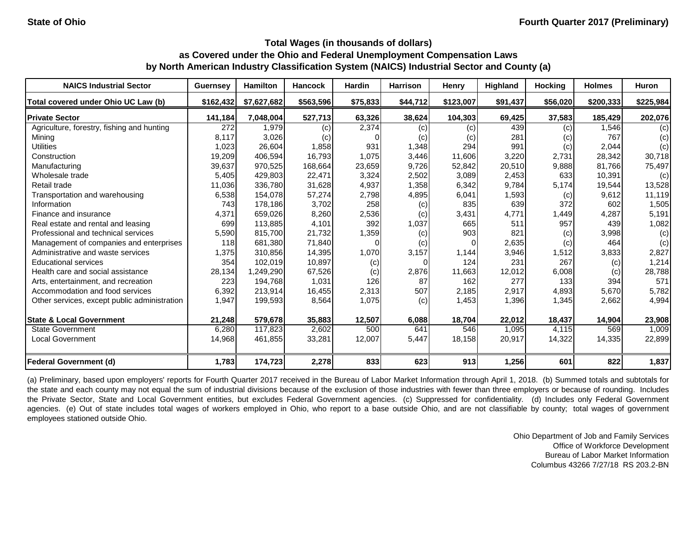| <b>NAICS Industrial Sector</b>               | <b>Guernsey</b> | Hamilton    | <b>Hancock</b> | <b>Hardin</b> | <b>Harrison</b> | <b>Henry</b> | Highland | <b>Hocking</b> | <b>Holmes</b> | Huron     |
|----------------------------------------------|-----------------|-------------|----------------|---------------|-----------------|--------------|----------|----------------|---------------|-----------|
| Total covered under Ohio UC Law (b)          | \$162,432       | \$7,627,682 | \$563,596      | \$75,833      | \$44,712        | \$123,007    | \$91,437 | \$56,020       | \$200,333     | \$225,984 |
| <b>Private Sector</b>                        | 141,184         | 7,048,004   | 527,713        | 63,326        | 38,624          | 104,303      | 69,425   | 37,583         | 185,429       | 202,076   |
| Agriculture, forestry, fishing and hunting   | 272             | 1,979       | (c)            | 2,374         | (c)             | (c)          | 439      | (c)            | 1,546         | (c)       |
| Mining                                       | 8,117           | 3,026       | (c)            |               | (c)             | (C)          | 281      | (c)            | 767           | (c)       |
| <b>Utilities</b>                             | 1,023           | 26,604      | 1,858          | 931           | 1,348           | 294          | 991      | (c)            | 2,044         | (c)       |
| Construction                                 | 19,209          | 406,594     | 16,793         | 1,075         | 3,446           | 11,606       | 3,220    | 2,731          | 28,342        | 30,718    |
| Manufacturing                                | 39,637          | 970,525     | 168,664        | 23,659        | 9,726           | 52,842       | 20,510   | 9,888          | 81,766        | 75,497    |
| Wholesale trade                              | 5,405           | 429,803     | 22,471         | 3,324         | 2,502           | 3,089        | 2,453    | 633            | 10,391        | (c)       |
| Retail trade                                 | 11,036          | 336,780     | 31,628         | 4,937         | 1,358           | 6,342        | 9,784    | 5,174          | 19,544        | 13,528    |
| Transportation and warehousing               | 6,538           | 154,078     | 57,274         | 2,798         | 4,895           | 6,041        | 1,593    | (c)            | 9,612         | 11,119    |
| Information                                  | 743             | 178,186     | 3,702          | 258           | (c)             | 835          | 639      | 372            | 602           | 1,505     |
| Finance and insurance                        | 4,371           | 659,026     | 8,260          | 2,536         | (c)             | 3,431        | 4,771    | 1,449          | 4,287         | 5,191     |
| Real estate and rental and leasing           | 699             | 113,885     | 4,101          | 392           | 1,037           | 665          | 511      | 957            | 439           | 1,082     |
| Professional and technical services          | 5,590           | 815,700     | 21,732         | 1,359         | (c)             | 903          | 821      | (c)            | 3,998         | (c)       |
| Management of companies and enterprises      | 118             | 681,380     | 71,840         | $\Omega$      | (c)             |              | 2,635    | (c)            | 464           | (c)       |
| Administrative and waste services            | 1,375           | 310,856     | 14,395         | 1,070         | 3,157           | 1,144        | 3,946    | 1,512          | 3,833         | 2,827     |
| <b>Educational services</b>                  | 354             | 102,019     | 10,897         | (c)           |                 | 124          | 231      | 267            | (c)           | 1,214     |
| Health care and social assistance            | 28,134          | 1,249,290   | 67,526         | (c)           | 2,876           | 11,663       | 12,012   | 6,008          | (c)           | 28,788    |
| Arts, entertainment, and recreation          | 223             | 194,768     | 1,031          | 126           | 87              | 162          | 277      | 133            | 394           | 571       |
| Accommodation and food services              | 6,392           | 213,914     | 16,455         | 2,313         | 507             | 2,185        | 2,917    | 4,893          | 5,670         | 5,782     |
| Other services, except public administration | 1,947           | 199,593     | 8,564          | 1,075         | (c)             | 1,453        | 1,396    | 1,345          | 2,662         | 4,994     |
| <b>State &amp; Local Government</b>          | 21,248          | 579,678     | 35,883         | 12,507        | 6,088           | 18,704       | 22,012   | 18,437         | 14,904        | 23,908    |
| <b>State Government</b>                      | 6,280           | 117,823     | 2,602          | 500           | 641             | 546          | 1,095    | 4,115          | 569           | 1,009     |
| <b>Local Government</b>                      | 14,968          | 461,855     | 33,281         | 12,007        | 5,447           | 18,158       | 20,917   | 14,322         | 14,335        | 22,899    |
| Federal Government (d)                       | 1,783           | 174,723     | 2,278          | 833           | 623             | 913          | 1,256    | 601            | 822           | 1,837     |

(a) Preliminary, based upon employers' reports for Fourth Quarter 2017 received in the Bureau of Labor Market Information through April 1, 2018. (b) Summed totals and subtotals for the state and each county may not equal the sum of industrial divisions because of the exclusion of those industries with fewer than three employers or because of rounding. Includes the Private Sector, State and Local Government entities, but excludes Federal Government agencies. (c) Suppressed for confidentiality. (d) Includes only Federal Government agencies. (e) Out of state includes total wages of workers employed in Ohio, who report to a base outside Ohio, and are not classifiable by county; total wages of government employees stationed outside Ohio.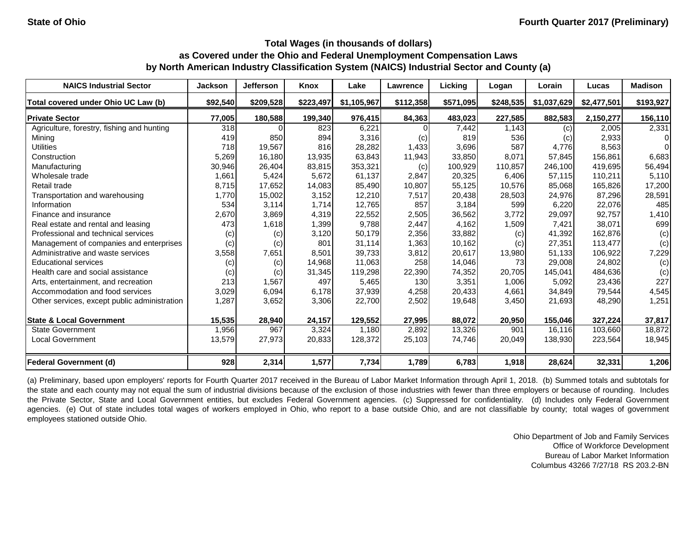| <b>NAICS Industrial Sector</b>               | <b>Jackson</b> | Jefferson | Knox      | Lake        | Lawrence  | Licking   | Logan     | Lorain      | Lucas       | <b>Madison</b> |
|----------------------------------------------|----------------|-----------|-----------|-------------|-----------|-----------|-----------|-------------|-------------|----------------|
| Total covered under Ohio UC Law (b)          | \$92,540       | \$209,528 | \$223,497 | \$1,105,967 | \$112,358 | \$571,095 | \$248,535 | \$1,037,629 | \$2,477,501 | \$193,927      |
| <b>Private Sector</b>                        | 77,005         | 180,588   | 199,340   | 976,415     | 84,363    | 483,023   | 227,585   | 882,583     | 2,150,277   | 156,110        |
| Agriculture, forestry, fishing and hunting   | 318            |           | 823       | 6,221       |           | 7,442     | 1,143     | (c)         | 2,005       | 2,331          |
| Mining                                       | 419            | 850       | 894       | 3,316       | (c)       | 819       | 536       | (c)         | 2,933       | $\Omega$       |
| <b>Utilities</b>                             | 718            | 19,567    | 816       | 28,282      | 1,433     | 3,696     | 587       | 4,776       | 8,563       | $\Omega$       |
| Construction                                 | 5,269          | 16,180    | 13,935    | 63,843      | 11,943    | 33,850    | 8,071     | 57,845      | 156,861     | 6,683          |
| Manufacturing                                | 30,946         | 26,404    | 83,815    | 353,321     | (c)       | 100,929   | 110,857   | 246,100     | 419,695     | 56,494         |
| Wholesale trade                              | 1,661          | 5,424     | 5,672     | 61,137      | 2,847     | 20,325    | 6,406     | 57,115      | 110,211     | 5,110          |
| Retail trade                                 | 8,715          | 17,652    | 14,083    | 85,490      | 10,807    | 55,125    | 10,576    | 85,068      | 165,826     | 17,200         |
| Transportation and warehousing               | 1,770          | 15,002    | 3,152     | 12,210      | 7,517     | 20,438    | 28,503    | 24,976      | 87,296      | 28,591         |
| Information                                  | 534            | 3,114     | 1,714     | 12,765      | 857       | 3,184     | 599       | 6,220       | 22,076      | 485            |
| Finance and insurance                        | 2,670          | 3,869     | 4,319     | 22,552      | 2,505     | 36,562    | 3,772     | 29,097      | 92,757      | 1,410          |
| Real estate and rental and leasing           | 473            | 1,618     | 1,399     | 9,788       | 2,447     | 4,162     | 1,509     | 7,421       | 38,071      | 699            |
| Professional and technical services          | (c)            | (c)       | 3,120     | 50,179      | 2,356     | 33,882    | (c)       | 41,392      | 162,876     | (c)            |
| Management of companies and enterprises      | (c)            | (c)       | 801       | 31,114      | 1,363     | 10,162    | (c)       | 27,351      | 113,477     | (c)            |
| Administrative and waste services            | 3,558          | 7,651     | 8,501     | 39,733      | 3,812     | 20,617    | 13,980    | 51,133      | 106,922     | 7,229          |
| <b>Educational services</b>                  | (c)            | (c)       | 14,968    | 11,063      | 258       | 14,046    | 73        | 29,008      | 24,802      | (c)            |
| Health care and social assistance            | (c)            | (c)       | 31,345    | 119,298     | 22,390    | 74,352    | 20,705    | 145,041     | 484,636     | (c)            |
| Arts, entertainment, and recreation          | 213            | 1,567     | 497       | 5,465       | 130       | 3,351     | 1,006     | 5,092       | 23,436      | 227            |
| Accommodation and food services              | 3,029          | 6,094     | 6,178     | 37,939      | 4,258     | 20,433    | 4,661     | 34,849      | 79,544      | 4,545          |
| Other services, except public administration | 1,287          | 3,652     | 3,306     | 22,700      | 2,502     | 19,648    | 3,450     | 21,693      | 48,290      | 1,251          |
| <b>State &amp; Local Government</b>          | 15,535         | 28,940    | 24,157    | 129,552     | 27,995    | 88,072    | 20,950    | 155,046     | 327,224     | 37,817         |
| <b>State Government</b>                      | 1,956          | 967       | 3,324     | 1,180       | 2,892     | 13,326    | 901       | 16,116      | 103,660     | 18,872         |
| <b>Local Government</b>                      | 13,579         | 27,973    | 20,833    | 128,372     | 25,103    | 74,746    | 20,049    | 138,930     | 223,564     | 18,945         |
| <b>Federal Government (d)</b>                | 928            | 2,314     | 1,577     | 7,734       | 1,789     | 6,783     | 1,918     | 28,624      | 32,331      | 1,206          |

(a) Preliminary, based upon employers' reports for Fourth Quarter 2017 received in the Bureau of Labor Market Information through April 1, 2018. (b) Summed totals and subtotals for the state and each county may not equal the sum of industrial divisions because of the exclusion of those industries with fewer than three employers or because of rounding. Includes the Private Sector, State and Local Government entities, but excludes Federal Government agencies. (c) Suppressed for confidentiality. (d) Includes only Federal Government agencies. (e) Out of state includes total wages of workers employed in Ohio, who report to a base outside Ohio, and are not classifiable by county; total wages of government employees stationed outside Ohio.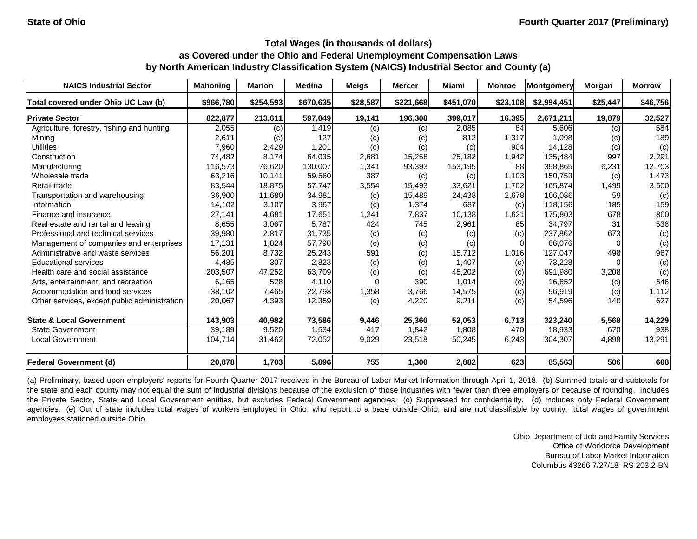| <b>NAICS Industrial Sector</b>               | <b>Mahoning</b> | <b>Marion</b> | <b>Medina</b> | <b>Meigs</b> | <b>Mercer</b> | Miami     | <b>Monroe</b> | Montgomery  | <b>Morgan</b> | <b>Morrow</b> |
|----------------------------------------------|-----------------|---------------|---------------|--------------|---------------|-----------|---------------|-------------|---------------|---------------|
| Total covered under Ohio UC Law (b)          | \$966,780       | \$254,593     | \$670,635     | \$28,587     | \$221,668     | \$451,070 | \$23,108      | \$2,994,451 | \$25,447      | \$46,756      |
| <b>Private Sector</b>                        | 822,877         | 213,611       | 597,049       | 19,141       | 196,308       | 399,017   | 16,395        | 2,671,211   | 19,879        | 32,527        |
| Agriculture, forestry, fishing and hunting   | 2,055           | (c)           | 1,419         | (c)          | (c)           | 2,085     | 84            | 5,606       | (c)           | 584           |
| Mining                                       | 2,611           | (c)           | 127           | (c)          | (c)           | 812       | 1,317         | 1,098       | (c)           | 189           |
| <b>Utilities</b>                             | 7,960           | 2,429         | 1,201         | (c)          | (c)           | (c)       | 904           | 14,128      | (c)           | (c)           |
| Construction                                 | 74,482          | 8,174         | 64,035        | 2,681        | 15,258        | 25,182    | 1,942         | 135,484     | 997           | 2,291         |
| Manufacturing                                | 116,573         | 76,620        | 130,007       | 1,341        | 93,393        | 153,195   | 88            | 398,865     | 6,231         | 12,703        |
| Wholesale trade                              | 63,216          | 10,141        | 59,560        | 387          | (c)           | (c)       | 1,103         | 150,753     | (c)           | 1,473         |
| Retail trade                                 | 83,544          | 18,875        | 57,747        | 3,554        | 15,493        | 33,621    | 1,702         | 165,874     | 1,499         | 3,500         |
| Transportation and warehousing               | 36,900          | 11,680        | 34,981        | (c)          | 15,489        | 24,438    | 2,678         | 106,086     | 59            | (c)           |
| Information                                  | 14,102          | 3,107         | 3,967         | (c)          | 1,374         | 687       | (c)           | 118,156     | 185           | 159           |
| Finance and insurance                        | 27,141          | 4,681         | 17,651        | 1,241        | 7,837         | 10,138    | 1,621         | 175,803     | 678           | 800           |
| Real estate and rental and leasing           | 8,655           | 3,067         | 5,787         | 424          | 745           | 2,961     | 65            | 34,797      | 31            | 536           |
| Professional and technical services          | 39,980          | 2,817         | 31,735        | (c)          | (c)           | (c)       | (c)           | 237,862     | 673           | (c)           |
| Management of companies and enterprises      | 17,131          | 1,824         | 57,790        | (c)          | (c)           | (c)       |               | 66,076      | $\Omega$      | (c)           |
| Administrative and waste services            | 56,201          | 8,732         | 25,243        | 591          | (c)           | 15,712    | 1,016         | 127,047     | 498           | 967           |
| <b>Educational services</b>                  | 4,485           | 307           | 2,823         | (c)          | (c)           | 1,407     | (c)           | 73,228      |               | (c)           |
| Health care and social assistance            | 203,507         | 47,252        | 63,709        | (c)          | (c)           | 45,202    | (c)           | 691,980     | 3,208         | (c)           |
| Arts, entertainment, and recreation          | 6,165           | 528           | 4,110         |              | 390           | 1,014     | (c)           | 16,852      | (c)           | 546           |
| Accommodation and food services              | 38,102          | 7,465         | 22,798        | 1,358        | 3,766         | 14,575    | (c)           | 96,919      | (c)           | 1,112         |
| Other services, except public administration | 20,067          | 4,393         | 12,359        | (c)          | 4,220         | 9,211     | (c)           | 54,596      | 140           | 627           |
| <b>State &amp; Local Government</b>          | 143,903         | 40,982        | 73,586        | 9,446        | 25,360        | 52,053    | 6,713         | 323,240     | 5,568         | 14,229        |
| <b>State Government</b>                      | 39,189          | 9,520         | 1,534         | 417          | 1,842         | 1,808     | 470           | 18,933      | 670           | 938           |
| <b>Local Government</b>                      | 104,714         | 31,462        | 72,052        | 9,029        | 23,518        | 50,245    | 6,243         | 304,307     | 4,898         | 13,291        |
| <b>Federal Government (d)</b>                | 20,878          | 1,703         | 5,896         | 755          | 1,300         | 2,882     | 623           | 85,563      | 506           | 608           |

(a) Preliminary, based upon employers' reports for Fourth Quarter 2017 received in the Bureau of Labor Market Information through April 1, 2018. (b) Summed totals and subtotals for the state and each county may not equal the sum of industrial divisions because of the exclusion of those industries with fewer than three employers or because of rounding. Includes the Private Sector, State and Local Government entities, but excludes Federal Government agencies. (c) Suppressed for confidentiality. (d) Includes only Federal Government agencies. (e) Out of state includes total wages of workers employed in Ohio, who report to a base outside Ohio, and are not classifiable by county; total wages of government employees stationed outside Ohio.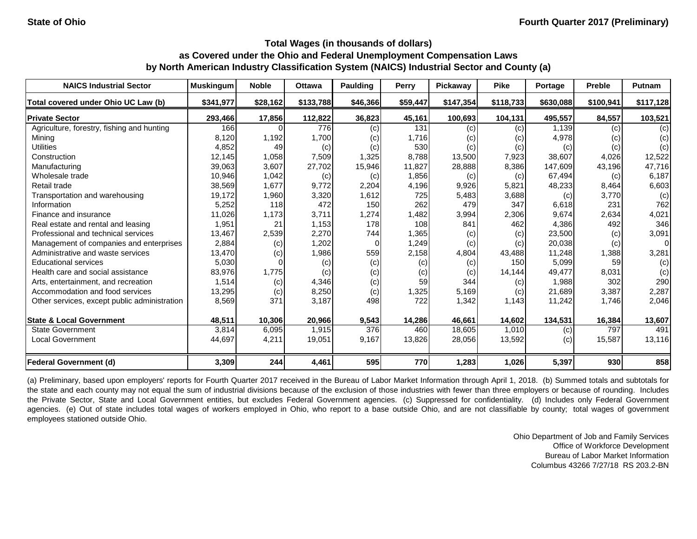| <b>NAICS Industrial Sector</b>               | <b>Muskingum</b> | <b>Noble</b> | <b>Ottawa</b> | Paulding | Perry    | Pickaway          | <b>Pike</b> | Portage   | <b>Preble</b> | Putnam         |
|----------------------------------------------|------------------|--------------|---------------|----------|----------|-------------------|-------------|-----------|---------------|----------------|
| Total covered under Ohio UC Law (b)          | \$341,977        | \$28,162     | \$133,788     | \$46,366 | \$59,447 | \$147,354         | \$118,733   | \$630,088 | \$100,941     | \$117,128      |
| <b>Private Sector</b>                        | 293,466          | 17,856       | 112,822       | 36,823   | 45,161   | 100,693           | 104,131     | 495,557   | 84,557        | 103,521        |
| Agriculture, forestry, fishing and hunting   | 166              |              | 776           | (c)      | 131      | $\left( c\right)$ | (c)         | 1,139     | (c)           | (c)            |
| Mining                                       | 8,120            | 1,192        | 1,700         | (c)      | 1,716    | (c)               | (c)         | 4,978     | (c)           | (c)            |
| <b>Utilities</b>                             | 4,852            | 49           | (c)           | (c)      | 530      | (c)               | (c)         | (c)       | (c)           | (c)            |
| Construction                                 | 12,145           | 1,058        | 7,509         | 1,325    | 8,788    | 13,500            | 7,923       | 38,607    | 4,026         | 12,522         |
| Manufacturing                                | 39,063           | 3,607        | 27,702        | 15,946   | 11,827   | 28,888            | 8,386       | 147,609   | 43,196        | 47,716         |
| Wholesale trade                              | 10,946           | 1,042        | (c)           | (c)      | 1,856    | (c)               | (c)         | 67,494    | (c)           | 6,187          |
| Retail trade                                 | 38,569           | 1,677        | 9,772         | 2,204    | 4,196    | 9,926             | 5,821       | 48,233    | 8,464         | 6,603          |
| Transportation and warehousing               | 19,172           | 1,960        | 3,320         | 1,612    | 725      | 5,483             | 3,688       | (c)       | 3,770         | (c)            |
| Information                                  | 5,252            | 118          | 472           | 150      | 262      | 479               | 347         | 6,618     | 231           | 762            |
| Finance and insurance                        | 11,026           | 1,173        | 3,711         | 1,274    | 1,482    | 3,994             | 2,306       | 9,674     | 2,634         | 4,021          |
| Real estate and rental and leasing           | 1,951            | 21           | 1,153         | 178      | 108      | 841               | 462         | 4,386     | 492           | 346            |
| Professional and technical services          | 13,467           | 2,539        | 2,270         | 744      | 1,365    | (c)               | (c)         | 23,500    | (c)           | 3,091          |
| Management of companies and enterprises      | 2,884            | (c)          | 1,202         |          | 1,249    | (c)               | (c)         | 20,038    | (c)           | $\overline{0}$ |
| Administrative and waste services            | 13,470           | (c)          | 1,986         | 559      | 2,158    | 4,804             | 43,488      | 11,248    | 1,388         | 3,281          |
| <b>Educational services</b>                  | 5,030            |              | (c)           | (c)      | (c)      | (c)               | 150         | 5,099     | 59            | (c)            |
| Health care and social assistance            | 83,976           | 1,775        | (c)           | (c)      | (c)      | (c)               | 14,144      | 49,477    | 8,031         | (c)            |
| Arts, entertainment, and recreation          | 1,514            | (c)          | 4,346         | (c)      | 59       | 344               | (c)         | 1,988     | 302           | 290            |
| Accommodation and food services              | 13,295           | (c)          | 8,250         | (c)      | 1,325    | 5,169             | (c)         | 21,689    | 3,387         | 2,287          |
| Other services, except public administration | 8,569            | 371          | 3,187         | 498      | 722      | 1,342             | 1,143       | 11,242    | 1,746         | 2,046          |
| <b>State &amp; Local Government</b>          | 48,511           | 10,306       | 20,966        | 9,543    | 14,286   | 46,661            | 14,602      | 134,531   | 16,384        | 13,607         |
| <b>State Government</b>                      | 3,814            | 6,095        | 1,915         | 376      | 460      | 18,605            | 1,010       | (c)       | 797           | 491            |
| <b>Local Government</b>                      | 44,697           | 4,211        | 19,051        | 9,167    | 13,826   | 28,056            | 13,592      | (c)       | 15,587        | 13,116         |
| <b>Federal Government (d)</b>                | 3,309            | 244          | 4,461         | 595      | 770      | 1,283             | 1,026       | 5,397     | 930           | 858            |

(a) Preliminary, based upon employers' reports for Fourth Quarter 2017 received in the Bureau of Labor Market Information through April 1, 2018. (b) Summed totals and subtotals for the state and each county may not equal the sum of industrial divisions because of the exclusion of those industries with fewer than three employers or because of rounding. Includes the Private Sector, State and Local Government entities, but excludes Federal Government agencies. (c) Suppressed for confidentiality. (d) Includes only Federal Government agencies. (e) Out of state includes total wages of workers employed in Ohio, who report to a base outside Ohio, and are not classifiable by county; total wages of government employees stationed outside Ohio.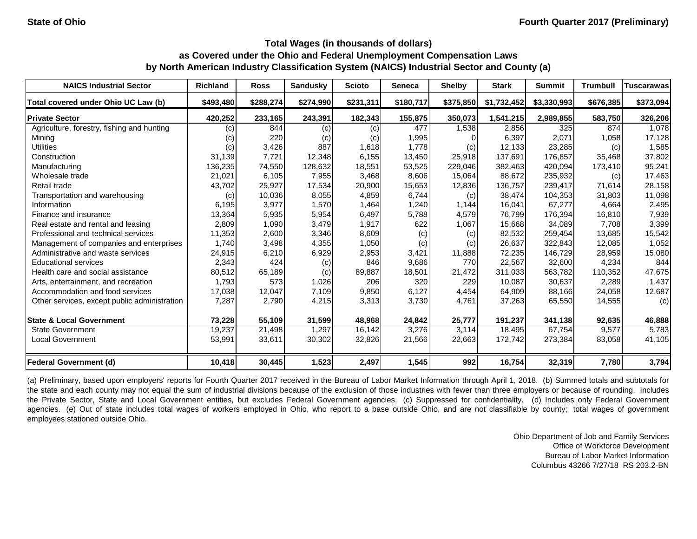| <b>NAICS Industrial Sector</b>               | <b>Richland</b> | <b>Ross</b> | <b>Sandusky</b> | <b>Scioto</b> | <b>Seneca</b> | <b>Shelby</b> | <b>Stark</b> | <b>Summit</b> | <b>Trumbull</b> | Tuscarawas |
|----------------------------------------------|-----------------|-------------|-----------------|---------------|---------------|---------------|--------------|---------------|-----------------|------------|
| Total covered under Ohio UC Law (b)          | \$493,480       | \$288,274   | \$274,990       | \$231,311     | \$180,717     | \$375,850     | \$1,732,452  | \$3,330,993   | \$676,385       | \$373,094  |
| <b>Private Sector</b>                        | 420,252         | 233,165     | 243,391         | 182,343       | 155,875       | 350,073       | 1,541,215    | 2,989,855     | 583,750         | 326,206    |
| Agriculture, forestry, fishing and hunting   | (c)             | 844         | (c)             | (c)           | 477           | 1,538         | 2,856        | 325           | 874             | 1,078      |
| Mining                                       | (c)             | 220         | (c)             | (c)           | 1,995         |               | 6,397        | 2,071         | 1,058           | 17,128     |
| <b>Utilities</b>                             | (c)             | 3,426       | 887             | 1,618         | 1,778         | (c)           | 12,133       | 23,285        | (c)             | 1,585      |
| Construction                                 | 31,139          | 7,721       | 12,348          | 6,155         | 13,450        | 25,918        | 137,691      | 176,857       | 35,468          | 37,802     |
| Manufacturing                                | 136,235         | 74,550      | 128,632         | 18,551        | 53,525        | 229,046       | 382,463      | 420,094       | 173,410         | 95,241     |
| Wholesale trade                              | 21,021          | 6,105       | 7,955           | 3,468         | 8,606         | 15,064        | 88,672       | 235,932       | (c)             | 17,463     |
| Retail trade                                 | 43,702          | 25,927      | 17,534          | 20,900        | 15,653        | 12,836        | 136,757      | 239,417       | 71,614          | 28,158     |
| Transportation and warehousing               | (c)             | 10,036      | 8,055           | 4,859         | 6,744         | (c)           | 38,474       | 104,353       | 31,803          | 11,098     |
| Information                                  | 6,195           | 3,977       | 1,570           | 1,464         | 1,240         | 1,144         | 16,041       | 67,277        | 4,664           | 2,495      |
| Finance and insurance                        | 13,364          | 5,935       | 5,954           | 6,497         | 5,788         | 4,579         | 76,799       | 176,394       | 16,810          | 7,939      |
| Real estate and rental and leasing           | 2,809           | 1,090       | 3,479           | 1,917         | 622           | 1,067         | 15,668       | 34,089        | 7,708           | 3,399      |
| Professional and technical services          | 11,353          | 2,600       | 3,346           | 8,609         | (c)           | (c)           | 82,532       | 259,454       | 13,685          | 15,542     |
| Management of companies and enterprises      | 1,740           | 3,498       | 4,355           | 1,050         | (c)           | (c)           | 26,637       | 322,843       | 12,085          | 1,052      |
| Administrative and waste services            | 24,915          | 6,210       | 6,929           | 2,953         | 3,421         | 11,888        | 72,235       | 146,729       | 28,959          | 15,080     |
| <b>Educational services</b>                  | 2,343           | 424         | (c)             | 846           | 9,686         | 770           | 22,567       | 32,600        | 4,234           | 844        |
| Health care and social assistance            | 80,512          | 65,189      | (c)             | 89,887        | 18,501        | 21,472        | 311,033      | 563,782       | 110,352         | 47,675     |
| Arts, entertainment, and recreation          | 1,793           | 573         | 1,026           | 206           | 320           | 229           | 10,087       | 30,637        | 2,289           | 1,437      |
| Accommodation and food services              | 17,038          | 12,047      | 7,109           | 9,850         | 6,127         | 4,454         | 64,909       | 88,166        | 24,058          | 12,687     |
| Other services, except public administration | 7,287           | 2,790       | 4,215           | 3,313         | 3,730         | 4,761         | 37,263       | 65,550        | 14,555          | (c)        |
| <b>State &amp; Local Government</b>          | 73,228          | 55,109      | 31,599          | 48,968        | 24,842        | 25,777        | 191,237      | 341,138       | 92,635          | 46,888     |
| <b>State Government</b>                      | 19,237          | 21,498      | 1,297           | 16,142        | 3,276         | 3,114         | 18,495       | 67,754        | 9,577           | 5,783      |
| <b>Local Government</b>                      | 53,991          | 33,611      | 30,302          | 32,826        | 21,566        | 22,663        | 172,742      | 273,384       | 83,058          | 41,105     |
| <b>Federal Government (d)</b>                | 10,418          | 30,445      | 1,523           | 2,497         | 1,545         | 992           | 16,754       | 32,319        | 7,780           | 3,794      |

(a) Preliminary, based upon employers' reports for Fourth Quarter 2017 received in the Bureau of Labor Market Information through April 1, 2018. (b) Summed totals and subtotals for the state and each county may not equal the sum of industrial divisions because of the exclusion of those industries with fewer than three employers or because of rounding. Includes the Private Sector, State and Local Government entities, but excludes Federal Government agencies. (c) Suppressed for confidentiality. (d) Includes only Federal Government agencies. (e) Out of state includes total wages of workers employed in Ohio, who report to a base outside Ohio, and are not classifiable by county; total wages of government employees stationed outside Ohio.